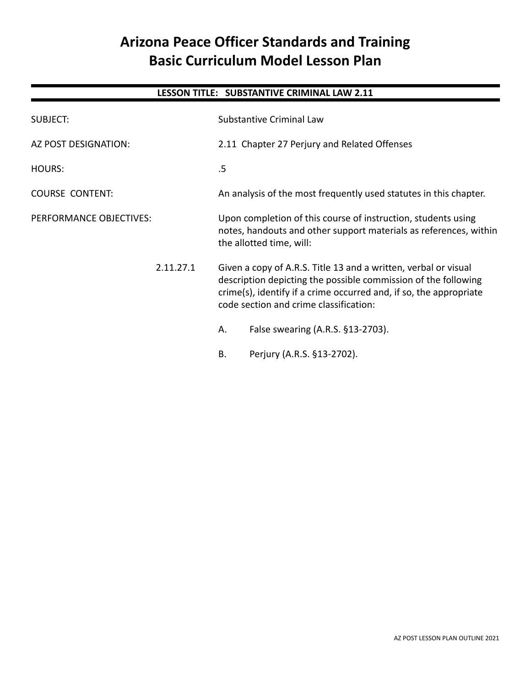# **Arizona Peace Officer Standards and Training Basic Curriculum Model Lesson Plan**

# **LESSON TITLE: SUBSTANTIVE CRIMINAL LAW 2.11**

| <b>SUBJECT:</b>         | Substantive Criminal Law                                                                                                                                                                                                                          |  |
|-------------------------|---------------------------------------------------------------------------------------------------------------------------------------------------------------------------------------------------------------------------------------------------|--|
| AZ POST DESIGNATION:    | 2.11 Chapter 27 Perjury and Related Offenses                                                                                                                                                                                                      |  |
| HOURS:                  | .5                                                                                                                                                                                                                                                |  |
| <b>COURSE CONTENT:</b>  | An analysis of the most frequently used statutes in this chapter.                                                                                                                                                                                 |  |
| PERFORMANCE OBJECTIVES: | Upon completion of this course of instruction, students using<br>notes, handouts and other support materials as references, within<br>the allotted time, will:                                                                                    |  |
| 2.11.27.1               | Given a copy of A.R.S. Title 13 and a written, verbal or visual<br>description depicting the possible commission of the following<br>crime(s), identify if a crime occurred and, if so, the appropriate<br>code section and crime classification: |  |
|                         | False swearing (A.R.S. §13-2703).<br>Α.                                                                                                                                                                                                           |  |
|                         | Perjury (A.R.S. §13-2702).<br>Β.                                                                                                                                                                                                                  |  |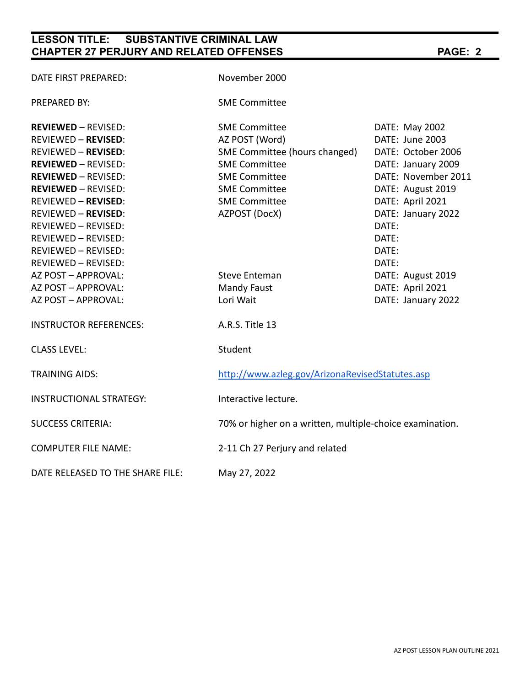# **LESSON TITLE: SUBSTANTIVE CRIMINAL LAW CHAPTER 27 PERJURY AND RELATED OFFENSES PAGE: 2**

| DATE FIRST PREPARED:             | November 2000                                            |                     |  |
|----------------------------------|----------------------------------------------------------|---------------------|--|
| <b>PREPARED BY:</b>              | <b>SME Committee</b>                                     |                     |  |
| <b>REVIEWED - REVISED:</b>       | <b>SME Committee</b>                                     | DATE: May 2002      |  |
| <b>REVIEWED - REVISED:</b>       | AZ POST (Word)                                           | DATE: June 2003     |  |
| <b>REVIEWED - REVISED:</b>       | SME Committee (hours changed)                            | DATE: October 2006  |  |
| <b>REVIEWED - REVISED:</b>       | <b>SME Committee</b>                                     | DATE: January 2009  |  |
| <b>REVIEWED - REVISED:</b>       | <b>SME Committee</b>                                     | DATE: November 2011 |  |
| <b>REVIEWED - REVISED:</b>       | <b>SME Committee</b>                                     | DATE: August 2019   |  |
| <b>REVIEWED - REVISED:</b>       | <b>SME Committee</b>                                     | DATE: April 2021    |  |
| <b>REVIEWED - REVISED:</b>       | AZPOST (DocX)                                            | DATE: January 2022  |  |
| REVIEWED - REVISED:              |                                                          | DATE:               |  |
| REVIEWED - REVISED:              |                                                          | DATE:               |  |
| REVIEWED - REVISED:              |                                                          | DATE:               |  |
| REVIEWED - REVISED:              |                                                          | DATE:               |  |
| AZ POST - APPROVAL:              | <b>Steve Enteman</b>                                     | DATE: August 2019   |  |
| AZ POST - APPROVAL:              | <b>Mandy Faust</b>                                       | DATE: April 2021    |  |
| AZ POST - APPROVAL:              | Lori Wait                                                | DATE: January 2022  |  |
| <b>INSTRUCTOR REFERENCES:</b>    | A.R.S. Title 13                                          |                     |  |
| <b>CLASS LEVEL:</b>              | Student                                                  |                     |  |
| <b>TRAINING AIDS:</b>            | http://www.azleg.gov/ArizonaRevisedStatutes.asp          |                     |  |
| <b>INSTRUCTIONAL STRATEGY:</b>   | Interactive lecture.                                     |                     |  |
| <b>SUCCESS CRITERIA:</b>         | 70% or higher on a written, multiple-choice examination. |                     |  |
| <b>COMPUTER FILE NAME:</b>       | 2-11 Ch 27 Perjury and related                           |                     |  |
| DATE RELEASED TO THE SHARE FILE: | May 27, 2022                                             |                     |  |